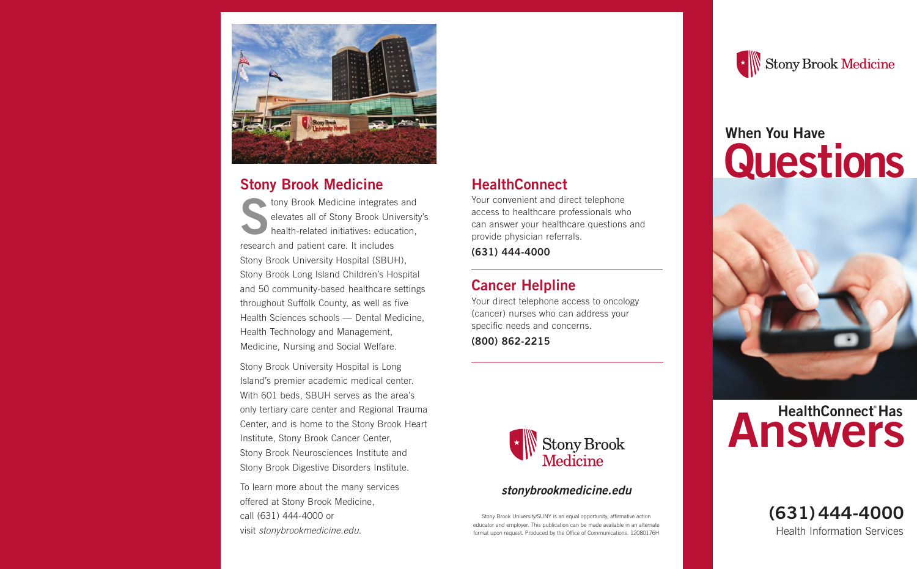

#### **Stony Brook Medicine**

**SERVIS DE SPORTS AND AN EXERCITED SPORTS AND REAL PROPERTY DEAL PROPERTY. THE SPORTS AND REAL PROPERTY AND REAL PROPERTY. THE SPORTS AND REAL PROPERTY AND REAL PROPERTY AND REAL PROPERTY.** elevates all of Stony Brook University's health-related initiatives: education, research and patient care. It includes Stony Brook University Hospital (SBUH), Stony Brook Long Island Children's Hospital and 50 community-based healthcare settings throughout Suffolk County, as well as five Health Sciences schools — Dental Medicine, Health Technology and Management, Medicine, Nursing and Social Welfare.

Stony Brook University Hospital is Long Island's premier academic medical center. With 601 beds, SBUH serves as the area's only tertiary care center and Regional Trauma Center, and is home to the Stony Brook Heart Institute, Stony Brook Cancer Center, Stony Brook Neurosciences Institute and Stony Brook Digestive Disorders Institute.

To learn more about the many services offered at Stony Brook Medicine, call (631) 444-4000 or visit stonybrookmedicine.edu.

### **HealthConnect**

Your convenient and direct telephone access to healthcare professionals who can answer your healthcare questions and provide physician referrals.

**(631) 444-4000**

## **Cancer Helpline**

Your direct telephone access to oncology (cancer) nurses who can address your specific needs and concerns.

**(800) 862-2215**



#### **stonybrookmedicine.edu**

Stony Brook University/SUNY is an equal opportunity, affirmative action educator and employer. This publication can be made available in an alternate format upon request. Produced by the Office of Communications. 12080176H



# **When You Have Questions**





Health Information Services **(631)444-4000**